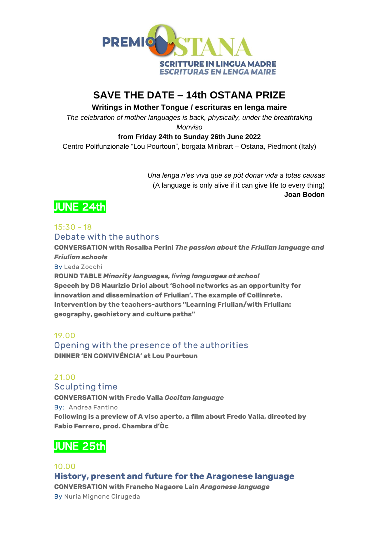

## **SAVE THE DATE – 14th OSTANA PRIZE**

**Writings in Mother Tongue / escrituras en lenga maire**

*The celebration of mother languages is back, physically, under the breathtaking Monviso*

#### **from Friday 24th to Sunday 26th June 2022**

Centro Polifunzionale "Lou Pourtoun", borgata Miribrart – Ostana, Piedmont (Italy)

*Una lenga n'es viva que se pòt donar vida a totas causas* (A language is only alive if it can give life to every thing) **Joan Bodon**

# JUNE 24th

## $15:30 - 18$ **Debate with the authors**

**CONVERSATION with Rosalba Perini** *The passion about the Friulian language and Friulian schools*

**By Leda Zocchi**

**ROUND TABLE** *Minority languages, living languages at school* **Speech by DS Maurizio Driol about 'School networks as an opportunity for innovation and dissemination of Friulian'. The example of Collinrete. Intervention by the teachers-authors "Learning Friulian/with Friulian: geography, geohistory and culture paths"**

## **19.00**

**Opening with the presence of the authorities DINNER 'EN CONVIVÉNCIA' at Lou Pourtoun**

## **21.00**

**Sculpting time**

**CONVERSATION with Fredo Valla** *Occitan language* **By: Andrea Fantino Following is a preview of A viso aperto, a film about Fredo Valla, directed by** 

**Fabio Ferrero, prod. Chambra d'Òc**

## JUNE 25th

## **10.00 History, present and future for the Aragonese language CONVERSATION with Francho Nagaore Lain** *Aragonese language* **By Nuria Mignone Cirugeda**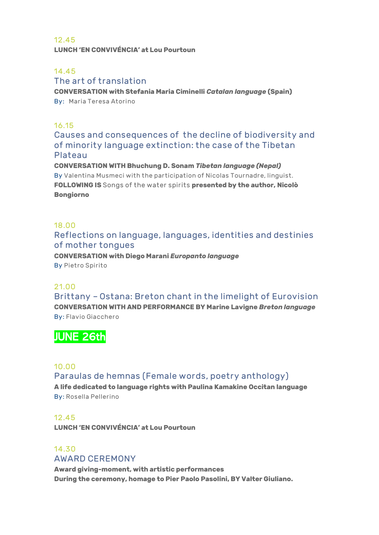#### **12.45 LUNCH 'EN CONVIVÉNCIA' at Lou Pourtoun**

## **14.45**

## **The art of translation**

**CONVERSATION with Stefania Maria Ciminelli** *Catalan language* **(Spain) By: Maria Teresa Atorino**

#### **16.15**

**Causes and consequences of the decline of biodiversity and of minority language extinction: the case of the Tibetan Plateau**

**CONVERSATION WITH Bhuchung D. Sonam** *Tibetan language (Nepal)* **By Valentina Musmeci with the participation of Nicolas Tournadre, linguist. FOLLOWING IS Songs of the water spirits presented by the author, Nicolò Bongiorno**

## **18.00**

## **Reflections on language, languages, identities and destinies of mother tongues**

**CONVERSATION with Diego Marani** *Europanto language* **By Pietro Spirito**

## **21.00**

**Brittany – Ostana: Breton chant in the limelight of Eurovision CONVERSATION WITH AND PERFORMANCE BY Marine Lavigne** *Breton language* **By: Flavio Giacchero**

## JUNE 26th

## **10.00**

**Paraulas de hemnas (Female words, poetry anthology) A life dedicated to language rights with Paulina Kamakine Occitan language By: Rosella Pellerino**

#### **12.45**

**LUNCH 'EN CONVIVÉNCIA' at Lou Pourtoun**

## **14.30 AWARD CEREMONY**

**Award giving-moment, with artistic performances During the ceremony, homage to Pier Paolo Pasolini, BY Valter Giuliano.**